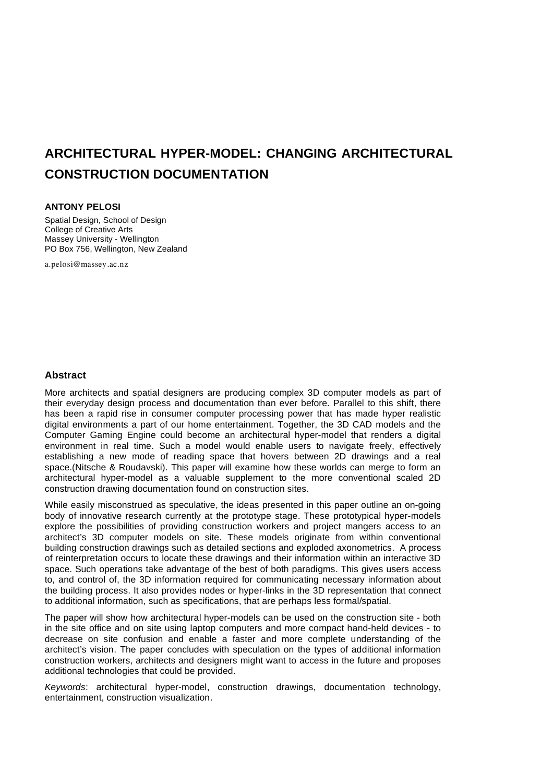# **ARCHITECTURAL HYPER-MODEL: CHANGING ARCHITECTURAL CONSTRUCTION DOCUMENTATION**

#### **ANTONY PELOSI**

Spatial Design, School of Design College of Creative Arts Massey University - Wellington PO Box 756, Wellington, New Zealand

a.pelosi@massey.ac.nz

#### **Abstract**

More architects and spatial designers are producing complex 3D computer models as part of their everyday design process and documentation than ever before. Parallel to this shift, there has been a rapid rise in consumer computer processing power that has made hyper realistic digital environments a part of our home entertainment. Together, the 3D CAD models and the Computer Gaming Engine could become an architectural hyper-model that renders a digital environment in real time. Such a model would enable users to navigate freely, effectively establishing a new mode of reading space that hovers between 2D drawings and a real space.(Nitsche & Roudavski). This paper will examine how these worlds can merge to form an architectural hyper-model as a valuable supplement to the more conventional scaled 2D construction drawing documentation found on construction sites.

While easily misconstrued as speculative, the ideas presented in this paper outline an on-going body of innovative research currently at the prototype stage. These prototypical hyper-models explore the possibilities of providing construction workers and project mangers access to an architect's 3D computer models on site. These models originate from within conventional building construction drawings such as detailed sections and exploded axonometrics. A process of reinterpretation occurs to locate these drawings and their information within an interactive 3D space. Such operations take advantage of the best of both paradigms. This gives users access to, and control of, the 3D information required for communicating necessary information about the building process. It also provides nodes or hyper-links in the 3D representation that connect to additional information, such as specifications, that are perhaps less formal/spatial.

The paper will show how architectural hyper-models can be used on the construction site - both in the site office and on site using laptop computers and more compact hand-held devices - to decrease on site confusion and enable a faster and more complete understanding of the architect's vision. The paper concludes with speculation on the types of additional information construction workers, architects and designers might want to access in the future and proposes additional technologies that could be provided.

*Keywords*: architectural hyper-model, construction drawings, documentation technology, entertainment, construction visualization.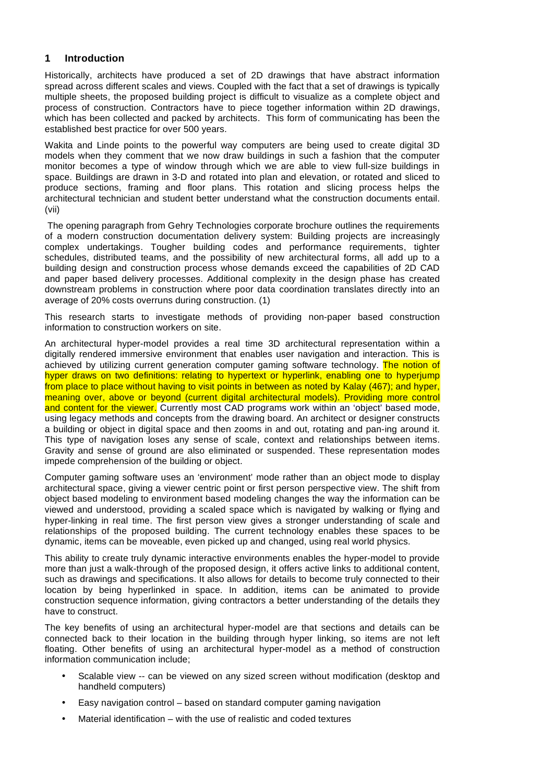#### **1 Introduction**

Historically, architects have produced a set of 2D drawings that have abstract information spread across different scales and views. Coupled with the fact that a set of drawings is typically multiple sheets, the proposed building project is difficult to visualize as a complete object and process of construction. Contractors have to piece together information within 2D drawings, which has been collected and packed by architects. This form of communicating has been the established best practice for over 500 years.

Wakita and Linde points to the powerful way computers are being used to create digital 3D models when they comment that we now draw buildings in such a fashion that the computer monitor becomes a type of window through which we are able to view full-size buildings in space. Buildings are drawn in 3-D and rotated into plan and elevation, or rotated and sliced to produce sections, framing and floor plans. This rotation and slicing process helps the architectural technician and student better understand what the construction documents entail. (vii)

The opening paragraph from Gehry Technologies corporate brochure outlines the requirements of a modern construction documentation delivery system: Building projects are increasingly complex undertakings. Tougher building codes and performance requirements, tighter schedules, distributed teams, and the possibility of new architectural forms, all add up to a building design and construction process whose demands exceed the capabilities of 2D CAD and paper based delivery processes. Additional complexity in the design phase has created downstream problems in construction where poor data coordination translates directly into an average of 20% costs overruns during construction. (1)

This research starts to investigate methods of providing non-paper based construction information to construction workers on site.

An architectural hyper-model provides a real time 3D architectural representation within a digitally rendered immersive environment that enables user navigation and interaction. This is achieved by utilizing current generation computer gaming software technology. The notion of hyper draws on two definitions: relating to hypertext or hyperlink, enabling one to hyperiump from place to place without having to visit points in between as noted by Kalay (467); and hyper, meaning over, above or beyond (current digital architectural models). Providing more control and content for the viewer. Currently most CAD programs work within an 'object' based mode, using legacy methods and concepts from the drawing board. An architect or designer constructs a building or object in digital space and then zooms in and out, rotating and pan-ing around it. This type of navigation loses any sense of scale, context and relationships between items. Gravity and sense of ground are also eliminated or suspended. These representation modes impede comprehension of the building or object.

Computer gaming software uses an 'environment' mode rather than an object mode to display architectural space, giving a viewer centric point or first person perspective view. The shift from object based modeling to environment based modeling changes the way the information can be viewed and understood, providing a scaled space which is navigated by walking or flying and hyper-linking in real time. The first person view gives a stronger understanding of scale and relationships of the proposed building. The current technology enables these spaces to be dynamic, items can be moveable, even picked up and changed, using real world physics.

This ability to create truly dynamic interactive environments enables the hyper-model to provide more than just a walk-through of the proposed design, it offers active links to additional content, such as drawings and specifications. It also allows for details to become truly connected to their location by being hyperlinked in space. In addition, items can be animated to provide construction sequence information, giving contractors a better understanding of the details they have to construct.

The key benefits of using an architectural hyper-model are that sections and details can be connected back to their location in the building through hyper linking, so items are not left floating. Other benefits of using an architectural hyper-model as a method of construction information communication include;

- Scalable view -- can be viewed on any sized screen without modification (desktop and handheld computers)
- Easy navigation control based on standard computer gaming navigation
- Material identification with the use of realistic and coded textures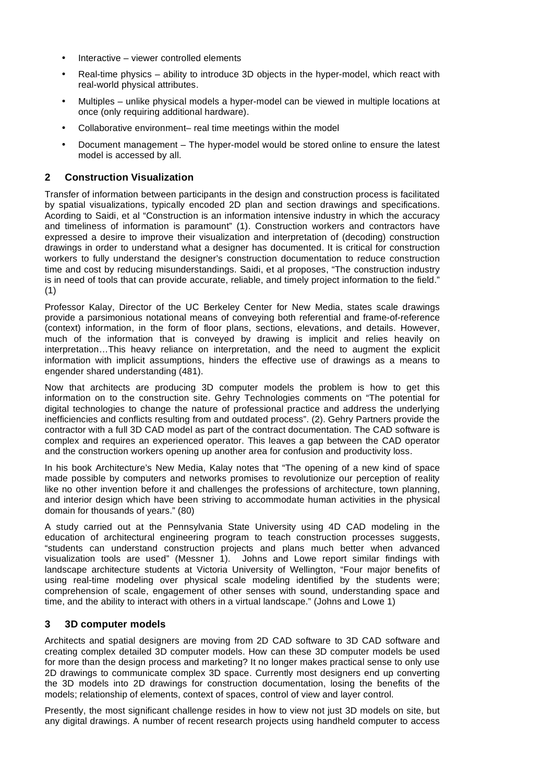- Interactive viewer controlled elements
- Real-time physics ability to introduce 3D objects in the hyper-model, which react with real-world physical attributes.
- Multiples unlike physical models a hyper-model can be viewed in multiple locations at once (only requiring additional hardware).
- Collaborative environment– real time meetings within the model
- Document management The hyper-model would be stored online to ensure the latest model is accessed by all.

## **2 Construction Visualization**

Transfer of information between participants in the design and construction process is facilitated by spatial visualizations, typically encoded 2D plan and section drawings and specifications. Acording to Saidi, et al "Construction is an information intensive industry in which the accuracy and timeliness of information is paramount" (1). Construction workers and contractors have expressed a desire to improve their visualization and interpretation of (decoding) construction drawings in order to understand what a designer has documented. It is critical for construction workers to fully understand the designer's construction documentation to reduce construction time and cost by reducing misunderstandings. Saidi, et al proposes, "The construction industry is in need of tools that can provide accurate, reliable, and timely project information to the field." (1)

Professor Kalay, Director of the UC Berkeley Center for New Media, states scale drawings provide a parsimonious notational means of conveying both referential and frame-of-reference (context) information, in the form of floor plans, sections, elevations, and details. However, much of the information that is conveyed by drawing is implicit and relies heavily on interpretation…This heavy reliance on interpretation, and the need to augment the explicit information with implicit assumptions, hinders the effective use of drawings as a means to engender shared understanding (481).

Now that architects are producing 3D computer models the problem is how to get this information on to the construction site. Gehry Technologies comments on "The potential for digital technologies to change the nature of professional practice and address the underlying inefficiencies and conflicts resulting from and outdated process". (2). Gehry Partners provide the contractor with a full 3D CAD model as part of the contract documentation. The CAD software is complex and requires an experienced operator. This leaves a gap between the CAD operator and the construction workers opening up another area for confusion and productivity loss.

In his book Architecture's New Media, Kalay notes that "The opening of a new kind of space made possible by computers and networks promises to revolutionize our perception of reality like no other invention before it and challenges the professions of architecture, town planning, and interior design which have been striving to accommodate human activities in the physical domain for thousands of years." (80)

A study carried out at the Pennsylvania State University using 4D CAD modeling in the education of architectural engineering program to teach construction processes suggests, "students can understand construction projects and plans much better when advanced visualization tools are used" (Messner 1). Johns and Lowe report similar findings with landscape architecture students at Victoria University of Wellington, "Four major benefits of using real-time modeling over physical scale modeling identified by the students were; comprehension of scale, engagement of other senses with sound, understanding space and time, and the ability to interact with others in a virtual landscape." (Johns and Lowe 1)

#### **3 3D computer models**

Architects and spatial designers are moving from 2D CAD software to 3D CAD software and creating complex detailed 3D computer models. How can these 3D computer models be used for more than the design process and marketing? It no longer makes practical sense to only use 2D drawings to communicate complex 3D space. Currently most designers end up converting the 3D models into 2D drawings for construction documentation, losing the benefits of the models; relationship of elements, context of spaces, control of view and layer control.

Presently, the most significant challenge resides in how to view not just 3D models on site, but any digital drawings. A number of recent research projects using handheld computer to access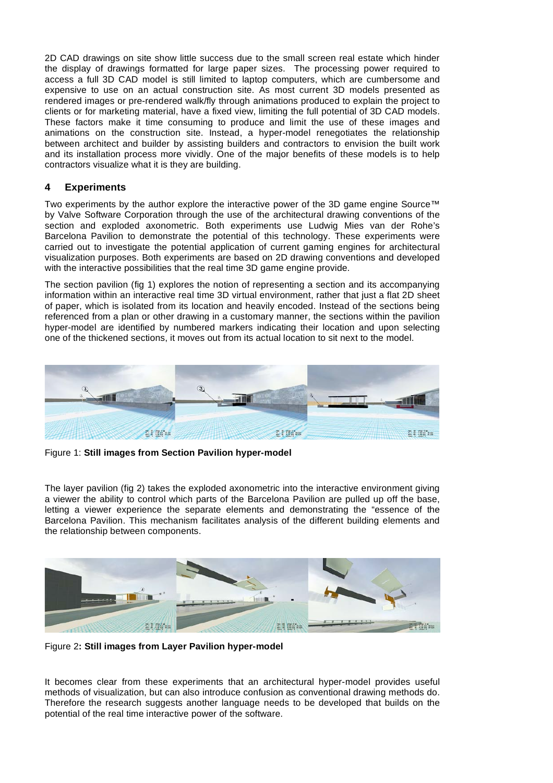2D CAD drawings on site show little success due to the small screen real estate which hinder the display of drawings formatted for large paper sizes. The processing power required to access a full 3D CAD model is still limited to laptop computers, which are cumbersome and expensive to use on an actual construction site. As most current 3D models presented as rendered images or pre-rendered walk/fly through animations produced to explain the project to clients or for marketing material, have a fixed view, limiting the full potential of 3D CAD models. These factors make it time consuming to produce and limit the use of these images and animations on the construction site. Instead, a hyper-model renegotiates the relationship between architect and builder by assisting builders and contractors to envision the built work and its installation process more vividly. One of the major benefits of these models is to help contractors visualize what it is they are building.

### **4 Experiments**

Two experiments by the author explore the interactive power of the 3D game engine Source™ by Valve Software Corporation through the use of the architectural drawing conventions of the section and exploded axonometric. Both experiments use Ludwig Mies van der Rohe's Barcelona Pavilion to demonstrate the potential of this technology. These experiments were carried out to investigate the potential application of current gaming engines for architectural visualization purposes. Both experiments are based on 2D drawing conventions and developed with the interactive possibilities that the real time 3D game engine provide.

The section pavilion (fig 1) explores the notion of representing a section and its accompanying information within an interactive real time 3D virtual environment, rather that just a flat 2D sheet of paper, which is isolated from its location and heavily encoded. Instead of the sections being referenced from a plan or other drawing in a customary manner, the sections within the pavilion hyper-model are identified by numbered markers indicating their location and upon selecting one of the thickened sections, it moves out from its actual location to sit next to the model.



Figure 1: **Still images from Section Pavilion hyper-model**

The layer pavilion (fig 2) takes the exploded axonometric into the interactive environment giving a viewer the ability to control which parts of the Barcelona Pavilion are pulled up off the base, letting a viewer experience the separate elements and demonstrating the "essence of the Barcelona Pavilion. This mechanism facilitates analysis of the different building elements and the relationship between components.



Figure 2**: Still images from Layer Pavilion hyper-model**

It becomes clear from these experiments that an architectural hyper-model provides useful methods of visualization, but can also introduce confusion as conventional drawing methods do. Therefore the research suggests another language needs to be developed that builds on the potential of the real time interactive power of the software.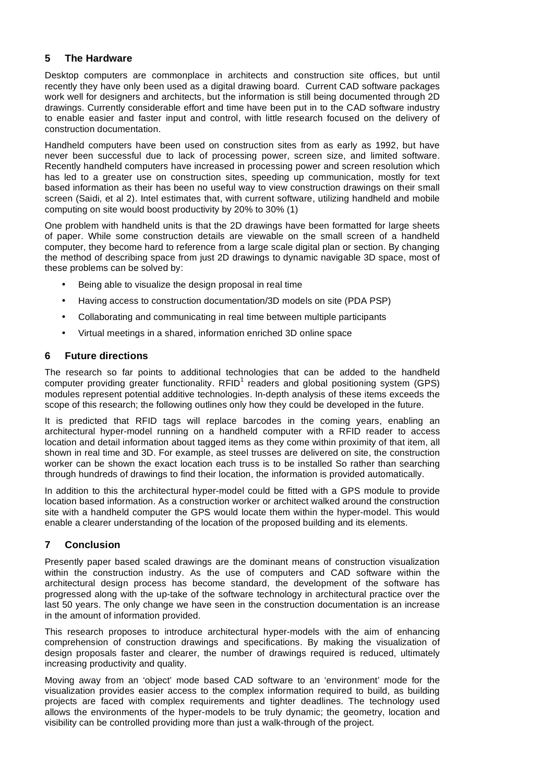### **5 The Hardware**

Desktop computers are commonplace in architects and construction site offices, but until recently they have only been used as a digital drawing board. Current CAD software packages work well for designers and architects, but the information is still being documented through 2D drawings. Currently considerable effort and time have been put in to the CAD software industry to enable easier and faster input and control, with little research focused on the delivery of construction documentation.

Handheld computers have been used on construction sites from as early as 1992, but have never been successful due to lack of processing power, screen size, and limited software. Recently handheld computers have increased in processing power and screen resolution which has led to a greater use on construction sites, speeding up communication, mostly for text based information as their has been no useful way to view construction drawings on their small screen (Saidi, et al 2). Intel estimates that, with current software, utilizing handheld and mobile computing on site would boost productivity by 20% to 30% (1)

One problem with handheld units is that the 2D drawings have been formatted for large sheets of paper. While some construction details are viewable on the small screen of a handheld computer, they become hard to reference from a large scale digital plan or section. By changing the method of describing space from just 2D drawings to dynamic navigable 3D space, most of these problems can be solved by:

- Being able to visualize the design proposal in real time
- Having access to construction documentation/3D models on site (PDA PSP)
- Collaborating and communicating in real time between multiple participants
- Virtual meetings in a shared, information enriched 3D online space

#### **6 Future directions**

The research so far points to additional technologies that can be added to the handheld computer providing greater functionality.  $RFD<sup>1</sup>$  readers and global positioning system (GPS) modules represent potential additive technologies. In-depth analysis of these items exceeds the scope of this research; the following outlines only how they could be developed in the future.

It is predicted that RFID tags will replace barcodes in the coming years, enabling an architectural hyper-model running on a handheld computer with a RFID reader to access location and detail information about tagged items as they come within proximity of that item, all shown in real time and 3D. For example, as steel trusses are delivered on site, the construction worker can be shown the exact location each truss is to be installed So rather than searching through hundreds of drawings to find their location, the information is provided automatically.

In addition to this the architectural hyper-model could be fitted with a GPS module to provide location based information. As a construction worker or architect walked around the construction site with a handheld computer the GPS would locate them within the hyper-model. This would enable a clearer understanding of the location of the proposed building and its elements.

#### **7 Conclusion**

Presently paper based scaled drawings are the dominant means of construction visualization within the construction industry. As the use of computers and CAD software within the architectural design process has become standard, the development of the software has progressed along with the up-take of the software technology in architectural practice over the last 50 years. The only change we have seen in the construction documentation is an increase in the amount of information provided.

This research proposes to introduce architectural hyper-models with the aim of enhancing comprehension of construction drawings and specifications. By making the visualization of design proposals faster and clearer, the number of drawings required is reduced, ultimately increasing productivity and quality.

Moving away from an 'object' mode based CAD software to an 'environment' mode for the visualization provides easier access to the complex information required to build, as building projects are faced with complex requirements and tighter deadlines. The technology used allows the environments of the hyper-models to be truly dynamic; the geometry, location and visibility can be controlled providing more than just a walk-through of the project.